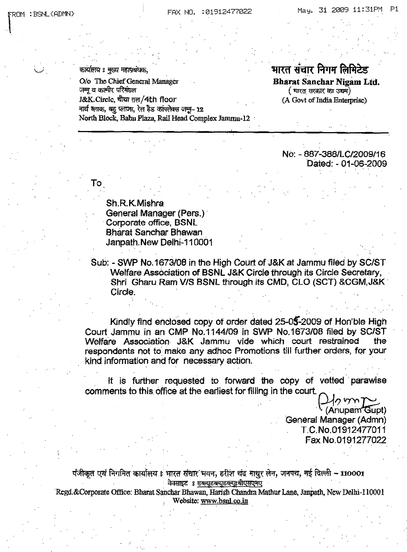$R$  : BSNL{ADMN}

*\. ..J*

कार्यालय : मूल्य महाप्रबंधक,

0/0 The Chief General Manager जम्मू व कश्मीर परिमंडल J&K.Circlc, चौथा तल/4th floor नार्थ ब्लाक, वह प्लाजा, रेल हैड कांपलेक्स जम्म- 12 North Block, Bahu Plaza, Rail Head Complex Jammu-12

## भारत संचार निगम लिमिटेड Bharat Sanchar Nigam Ltd.  $($  भारत सरकार का उद्यम). (A Govt of India Enterprise)

No: - 887-388/LC/2009116 Dated: - 01-06-2009

Sh.R.KMishra General Manager (Pers.) Corporate office, BSNL B.harat Banchar Bhawan Janpath. New Delhi-11 0001

" ...

Sub: - SWP No. 1673/08 in the High CourtofJ&K at Jammu filed by *SC/ST* Welfare Association of BSNL J&K Circle through its Circle Secretary, Shri Gharu Ram V/S BSNL through its CMD, CLO (SCT) &CGM, J&K Circle.

Kindly find enclosed copy of order dated 25-05-2009 of Hon'ble High Court Jammu in an CMP No.1144/09 in SWP No.1673/08 filed by SC/ST<br>Welfare Association J&K Jammu vide which court restrained the Welfare Association J&K Jammu vide which court restrained respondents not to make any adhoc Promotions till further orders, for your kind information and for necessary action.

. The simulation of the simulation of the simulation of the simulation of the simulation of the simulation of the simulation of the simulation of the simulation of the simulation of the simulation of the simulation of the

It is further requested to forward the copy of vetted parawise<br>comments to this office at the earliest for filling in the court.

comments to this. Office at the earliest for filling in the court. 012 YOM TO General Manager (Admn) TC.No.01912477011 Fax No.0191277022

पंजीकृत एवं निगमित कार्यालय 8 भारत संचार भवन, हरीश चंद माथुर लेन, जनपथ, नई दिल्ली - 110001 .<br>वेवसाइट : डब्ल्युडब्ल्युडब्ल्युःबीएसएनए

"Regd.&Corporate Office: Bharat Sanchar Bhawan, Harish Chandra Mathur Lane, Janpath, New Delhi-110001 Website: www.bsnl.co.in

To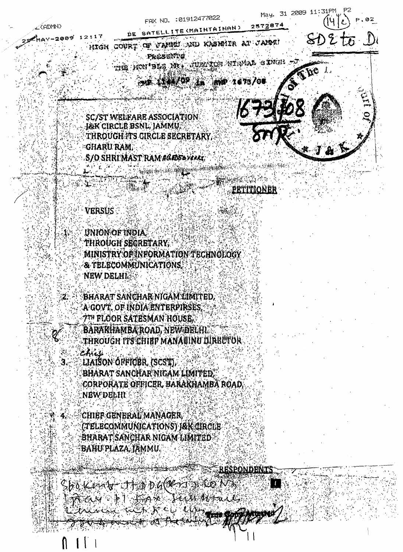

PETITIONER

 $\mathbf{f}$ 

## **VERSUS**

 $\mathbf{2}$  .

3.

UNION OF INDIA. THROUGH SECRETARY. MINISTRY OF INFORMATION TECHNOLOGY **& TELECOMMUNICATIONS NEW DELHI** 

BHARAT SANCHAR NIGAM LIMITED, 'A GOVT, OF INDIA ENTERPIRSES, **7TH FLOOR SATESMAN HOUSE.** BARAKHAMBAROAD, NEW DELHI through its chibp manawinu dirbutor

Chicli LIAISON OFFICER, (SCST), BHARAT SANCHAR NIGAM LIMITED. corporate officer, barakhamba road. NEW DELHI

chief general manager. (TELECOMMUNICATIONS) J&K CIRCLE BHARAT SANCHAR NIGAM LIMITED BAHU PLAZA, JAMMU.

**RESPONDENTS** 

 $\mathsf{S}\mathsf{F}_0$  (Central of the  $\mathsf{F}_0$  of  $(\mathscr{C}\mathscr{C})$  of  $(\mathscr{C}\mathscr{C})$  . Then  $\mathbb{R}$  and  $\mathbb{R}$  ) and  $\mathbb{R}$  . The substantial  $\mathbb{R}$ 

RATE COMPANY